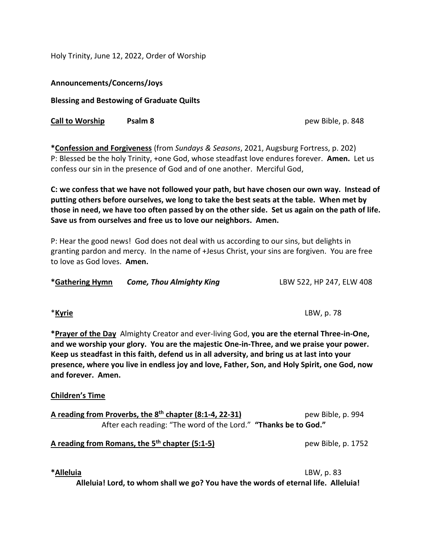Holy Trinity, June 12, 2022, Order of Worship

**Announcements/Concerns/Joys**

**Blessing and Bestowing of Graduate Quilts**

**Call to Worship Psalm 8 Permitted by Parameter 1 and 1** pew Bible, p. 848

**\*Confession and Forgiveness** (from *Sundays & Seasons*, 2021, Augsburg Fortress, p. 202) P: Blessed be the holy Trinity, +one God, whose steadfast love endures forever. **Amen.** Let us confess our sin in the presence of God and of one another. Merciful God,

**C: we confess that we have not followed your path, but have chosen our own way. Instead of putting others before ourselves, we long to take the best seats at the table. When met by those in need, we have too often passed by on the other side. Set us again on the path of life. Save us from ourselves and free us to love our neighbors. Amen.**

P: Hear the good news! God does not deal with us according to our sins, but delights in granting pardon and mercy. In the name of +Jesus Christ, your sins are forgiven. You are free to love as God loves. **Amen.**

| *Gathering Hymn | <b>Come, Thou Almighty King</b> | LBW 522, HP 247, ELW 408 |
|-----------------|---------------------------------|--------------------------|
|-----------------|---------------------------------|--------------------------|

\***Kyrie** LBW, p. 78

**\*Prayer of the Day** Almighty Creator and ever-living God, **you are the eternal Three-in-One, and we worship your glory. You are the majestic One-in-Three, and we praise your power. Keep us steadfast in this faith, defend us in all adversity, and bring us at last into your** 

**Children's Time**

**and forever. Amen.**

| A reading from Proverbs, the 8 <sup>th</sup> chapter (8:1-4, 22-31) | pew Bible, p. 994 |
|---------------------------------------------------------------------|-------------------|
| After each reading: "The word of the Lord." "Thanks be to God."     |                   |

**presence, where you live in endless joy and love, Father, Son, and Holy Spirit, one God, now** 

## **A reading from Romans, the 5th chapter (5:1-5)** pew Bible, p. 1752

**\*Alleluia** LBW, p. 83

**Alleluia! Lord, to whom shall we go? You have the words of eternal life. Alleluia!**